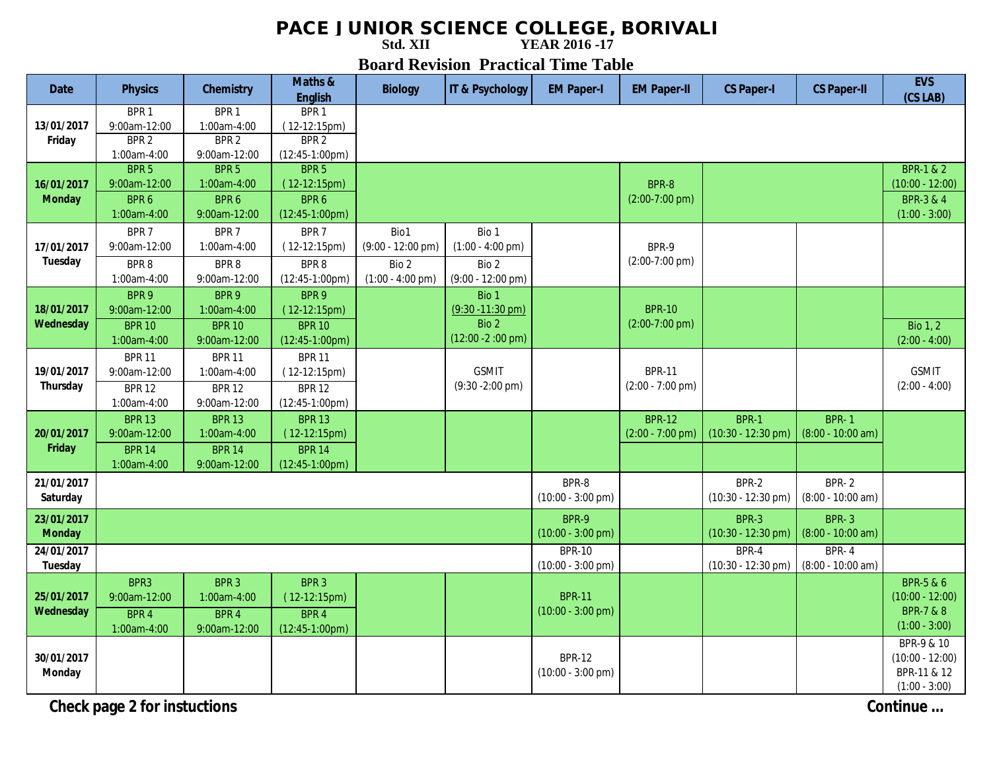## **PACE JUNIOR SCIENCE COLLEGE, BORIVALI**<br>
YEAR 2016-17

**Std. XII** 

**Board Revision Practical Time Table** 

| <b>Date</b>                 | <b>Physics</b>                                                      | <b>Chemistry</b>                                                    | Maths &<br><b>English</b>                                                  | <b>Biology</b>                                                             | IT & Psychology                                                             | <b>EM Paper-I</b>                            | <b>EM Paper-II</b>                          | <b>CS Paper-I</b>                            | <b>CS Paper-II</b>                  | <b>EVS</b><br>(CS LAB)                                                               |
|-----------------------------|---------------------------------------------------------------------|---------------------------------------------------------------------|----------------------------------------------------------------------------|----------------------------------------------------------------------------|-----------------------------------------------------------------------------|----------------------------------------------|---------------------------------------------|----------------------------------------------|-------------------------------------|--------------------------------------------------------------------------------------|
| 13/01/2017<br>Friday        | BPR <sub>1</sub><br>9:00am-12:00<br>BPR <sub>2</sub><br>1:00am-4:00 | BPR <sub>1</sub><br>1:00am-4:00<br>BPR <sub>2</sub><br>9:00am-12:00 | BPR <sub>1</sub><br>$(12-12:15pm)$<br>BPR <sub>2</sub><br>$(12:45-1:00pm)$ |                                                                            |                                                                             |                                              |                                             |                                              |                                     |                                                                                      |
| 16/01/2017<br><b>Monday</b> | BPR <sub>5</sub><br>9:00am-12:00<br>BPR 6<br>1:00am-4:00            | BPR <sub>5</sub><br>1:00am-4:00<br>BPR 6<br>9:00am-12:00            | BPR <sub>5</sub><br>$(12-12:15pm)$<br>BPR 6<br>$(12:45-1:00pm)$            |                                                                            |                                                                             |                                              | BPR-8<br>$(2:00-7:00$ pm)                   |                                              |                                     | <b>BPR-1 &amp; 2</b><br>$(10:00 - 12:00)$<br><b>BPR-3 &amp; 4</b><br>$(1:00 - 3:00)$ |
| 17/01/2017<br>Tuesday       | BPR 7<br>9:00am-12:00<br>BPR8<br>1:00am-4:00                        | BPR 7<br>1:00am-4:00<br>BPR8<br>9:00am-12:00                        | BPR 7<br>$(12-12:15pm)$<br>BPR8<br>$(12:45-1:00pm)$                        | Bio1<br>$(9:00 - 12:00 \text{ pm})$<br>Bio 2<br>$(1:00 - 4:00 \text{ pm})$ | Bio 1<br>$(1:00 - 4:00 \text{ pm})$<br>Bio 2<br>$(9:00 - 12:00 \text{ pm})$ |                                              | BPR-9<br>$(2:00-7:00$ pm)                   |                                              |                                     |                                                                                      |
| 18/01/2017<br>Wednesday     | BPR 9<br>9:00am-12:00<br><b>BPR 10</b><br>1:00am-4:00               | BPR 9<br>1:00am-4:00<br><b>BPR 10</b><br>9:00am-12:00               | BPR 9<br>$(12-12:15pm)$<br><b>BPR 10</b><br>$(12:45-1:00pm)$               |                                                                            | Bio 1<br>$(9:30 - 11:30$ pm)<br>Bio 2<br>$(12:00 - 2:00)$ pm)               |                                              | <b>BPR-10</b><br>$(2:00-7:00$ pm)           |                                              |                                     | Bio $1, 2$<br>$(2:00 - 4:00)$                                                        |
| 19/01/2017<br>Thursday      | <b>BPR 11</b><br>9:00am-12:00<br><b>BPR 12</b><br>1:00am-4:00       | <b>BPR 11</b><br>1:00am-4:00<br><b>BPR 12</b><br>9:00am-12:00       | <b>BPR 11</b><br>$(12-12:15pm)$<br><b>BPR 12</b><br>$(12:45-1:00pm)$       |                                                                            | <b>GSMIT</b><br>$(9:30 - 2:00 \text{ pm})$                                  |                                              | <b>BPR-11</b><br>$(2:00 - 7:00 \text{ pm})$ |                                              |                                     | <b>GSMIT</b><br>$(2:00 - 4:00)$                                                      |
| 20/01/2017<br>Friday        | <b>BPR 13</b><br>9:00am-12:00<br><b>BPR 14</b><br>1:00am-4:00       | <b>BPR 13</b><br>1:00am-4:00<br><b>BPR 14</b><br>9:00am-12:00       | <b>BPR 13</b><br>$(12-12:15pm)$<br><b>BPR 14</b><br>$(12:45-1:00pm)$       |                                                                            |                                                                             |                                              | <b>BPR-12</b><br>$(2:00 - 7:00 \text{ pm})$ | <b>BPR-1</b><br>$(10:30 - 12:30 \text{ pm})$ | <b>BPR-1</b><br>$(8:00 - 10:00 am)$ |                                                                                      |
| 21/01/2017<br>Saturday      |                                                                     |                                                                     |                                                                            |                                                                            |                                                                             | BPR-8<br>$(10:00 - 3:00$ pm)                 |                                             | BPR-2<br>$(10:30 - 12:30)$ pm)               | BPR-2<br>$(8:00 - 10:00 am)$        |                                                                                      |
| 23/01/2017<br><b>Monday</b> |                                                                     |                                                                     |                                                                            |                                                                            |                                                                             | BPR-9<br>$(10:00 - 3:00)$ pm)                |                                             | BPR-3<br>$(10:30 - 12:30 \text{ pm})$        | <b>BPR-3</b><br>$(8:00 - 10:00 am)$ |                                                                                      |
| 24/01/2017<br>Tuesday       |                                                                     |                                                                     |                                                                            |                                                                            |                                                                             | <b>BPR-10</b><br>$(10:00 - 3:00$ pm)         |                                             | BPR-4<br>$(10:30 - 12:30 \text{ pm})$        | <b>BPR-4</b><br>$(8:00 - 10:00 am)$ |                                                                                      |
| 25/01/2017<br>Wednesday     | BPR3<br>9:00am-12:00<br>BPR 4<br>1:00am-4:00                        | BPR <sub>3</sub><br>1:00am-4:00<br>BPR 4<br>9:00am-12:00            | BPR <sub>3</sub><br>$(12-12:15pm)$<br>BPR 4<br>$(12:45-1:00pm)$            |                                                                            |                                                                             | <b>BPR-11</b><br>$(10:00 - 3:00 \text{ pm})$ |                                             |                                              |                                     | BPR-5 & 6<br>$(10:00 - 12:00)$<br><b>BPR-7 &amp; 8</b><br>$(1:00 - 3:00)$            |
| 30/01/2017<br><b>Monday</b> |                                                                     |                                                                     |                                                                            |                                                                            |                                                                             | <b>BPR-12</b><br>$(10:00 - 3:00 \text{ pm})$ |                                             |                                              |                                     | BPR-9 & 10<br>$(10:00 - 12:00)$<br>BPR-11 & 12<br>$(1:00 - 3:00)$                    |

**Check page 2 for instuctions** Continue …